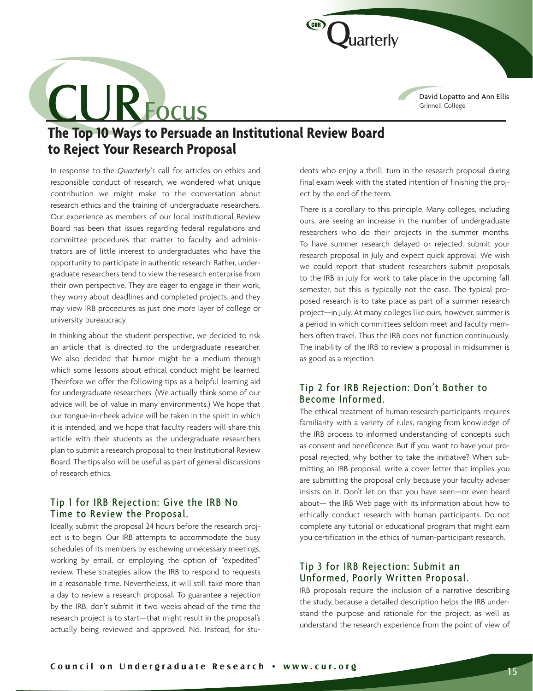David Lopatto and Ann Ellis Grinnell College

# **The Top 10 Ways to Persuade an Institutional Review Board to Reject Your Research Proposal**  CL JRFocus

In response to the *Quarterly's* call for articles on ethics and responsible conduct of research, we wondered what unique contribution we might make to the conversation about research ethics and the training of undergraduate researchers. Our experience as members of our local Institutional Review Board has been that issues regarding federal regulations and committee procedures that matter to faculty and administrators are of little interest to undergraduates who have the opportunity to participate in authentic research. Rather, undergraduate researchers tend to view the research enterprise from their own perspective. They are eager to engage in their work, they worry about deadlines and completed projects, and they may view IRB procedures as just one more layer of college or university bureaucracy.

In thinking about the student perspective, we decided to risk an article that is directed to the undergraduate researcher. We also decided that humor might be a medium through which some lessons about ethical conduct might be learned. Therefore we offer the following tips as a helpful learning aid for undergraduate researchers. (We actually think some of our advice will be of value in many environments.) We hope that our tongue-in-cheek advice will be taken in the spirit in which it is intended, and we hope that faculty readers will share this article with their students as the undergraduate researchers plan to submit a research proposal to their Institutional Review Board. The tips also will be useful as part of general discussions of research ethics.

### Tip 1 for IRB Rejection: Give the IRB No Time to Review the Proposal.

Ideally, submit the proposal 24 hours before the research project is to begin. Our IRB attempts to accommodate the busy schedules of its members by eschewing unnecessary meetings, working by email, or employing the option of "expedited" review. These strategies allow the IRB to respond to requests in a reasonable time. Nevertheless, it will still take more than a day to review a research proposal. To guarantee a rejection by the IRB, don't submit it two weeks ahead of the time the research project is to start—that might result in the proposal's actually being reviewed and approved. No. Instead, for students who enjoy a thrill, turn in the research proposal during final exam week with the stated intention of finishing the project by the end of the term.

*uarterly* 

C GUIR

There is a corollary to this principle. Many colleges, including ours, are seeing an increase in the number of undergraduate researchers who do their projects in the summer months. To have summer research delayed or rejected, submit your research proposal in July and expect quick approval. We wish we could report that student researchers submit proposals to the IRB in July for work to take place in the upcoming fall semester, but this is typically not the case. The typical proposed research is to take place as part of a summer research project—in July. At many colleges like ours, however, summer is a period in which committees seldom meet and faculty members often travel. Thus the IRB does not function continuously. The inability of the IRB to review a proposal in midsummer is as good as a rejection.

# Tip 2 for IRB Rejection: Don't Bother to Become Informed.

The ethical treatment of human research participants requires familiarity with a variety of rules, ranging from knowledge of the IRB process to informed understanding of concepts such as consent and beneficence. But if you want to have your proposal rejected, why bother to take the initiative? When submitting an IRB proposal, write a cover letter that implies you are submitting the proposal only because your faculty adviser insists on it. Don't let on that you have seen—or even heard about— the IRB Web page with its information about how to ethically conduct research with human participants. Do not complete any tutorial or educational program that might earn you certification in the ethics of human-participant research.

### Tip 3 for IRB Rejection: Submit an Unformed, Poorly Written Proposal.

IRB proposals require the inclusion of a narrative describing the study, because a detailed description helps the IRB understand the purpose and rationale for the project, as well as understand the research experience from the point of view of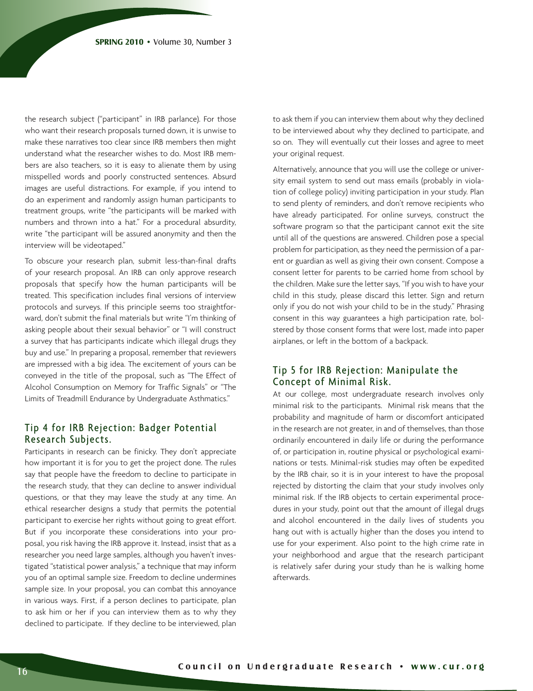the research subject ("participant" in IRB parlance). For those who want their research proposals turned down, it is unwise to make these narratives too clear since IRB members then might understand what the researcher wishes to do. Most IRB members are also teachers, so it is easy to alienate them by using misspelled words and poorly constructed sentences. Absurd images are useful distractions. For example, if you intend to do an experiment and randomly assign human participants to treatment groups, write "the participants will be marked with numbers and thrown into a hat." For a procedural absurdity, write "the participant will be assured anonymity and then the interview will be videotaped."

To obscure your research plan, submit less-than-final drafts of your research proposal. An IRB can only approve research proposals that specify how the human participants will be treated. This specification includes final versions of interview protocols and surveys. If this principle seems too straightforward, don't submit the final materials but write "I'm thinking of asking people about their sexual behavior" or "I will construct a survey that has participants indicate which illegal drugs they buy and use." In preparing a proposal, remember that reviewers are impressed with a big idea. The excitement of yours can be conveyed in the title of the proposal, such as "The Effect of Alcohol Consumption on Memory for Traffic Signals" or "The Limits of Treadmill Endurance by Undergraduate Asthmatics."

#### Tip 4 for IRB Rejection: Badger Potential Research Subjects.

Participants in research can be finicky. They don't appreciate how important it is for you to get the project done. The rules say that people have the freedom to decline to participate in the research study, that they can decline to answer individual questions, or that they may leave the study at any time. An ethical researcher designs a study that permits the potential participant to exercise her rights without going to great effort. But if you incorporate these considerations into your proposal, you risk having the IRB approve it. Instead, insist that as a researcher you need large samples, although you haven't investigated "statistical power analysis," a technique that may inform you of an optimal sample size. Freedom to decline undermines sample size. In your proposal, you can combat this annoyance in various ways. First, if a person declines to participate, plan to ask him or her if you can interview them as to why they declined to participate. If they decline to be interviewed, plan to ask them if you can interview them about why they declined to be interviewed about why they declined to participate, and so on. They will eventually cut their losses and agree to meet your original request.

Alternatively, announce that you will use the college or university email system to send out mass emails (probably in violation of college policy) inviting participation in your study. Plan to send plenty of reminders, and don't remove recipients who have already participated. For online surveys, construct the software program so that the participant cannot exit the site until all of the questions are answered. Children pose a special problem for participation, as they need the permission of a parent or guardian as well as giving their own consent. Compose a consent letter for parents to be carried home from school by the children. Make sure the letter says, "If you wish to have your child in this study, please discard this letter. Sign and return only if you do not wish your child to be in the study." Phrasing consent in this way guarantees a high participation rate, bolstered by those consent forms that were lost, made into paper airplanes, or left in the bottom of a backpack.

#### Tip 5 for IRB Rejection: Manipulate the Concept of Minimal Risk.

At our college, most undergraduate research involves only minimal risk to the participants. Minimal risk means that the probability and magnitude of harm or discomfort anticipated in the research are not greater, in and of themselves, than those ordinarily encountered in daily life or during the performance of, or participation in, routine physical or psychological examinations or tests. Minimal-risk studies may often be expedited by the IRB chair, so it is in your interest to have the proposal rejected by distorting the claim that your study involves only minimal risk. If the IRB objects to certain experimental procedures in your study, point out that the amount of illegal drugs and alcohol encountered in the daily lives of students you hang out with is actually higher than the doses you intend to use for your experiment. Also point to the high crime rate in your neighborhood and argue that the research participant is relatively safer during your study than he is walking home afterwards.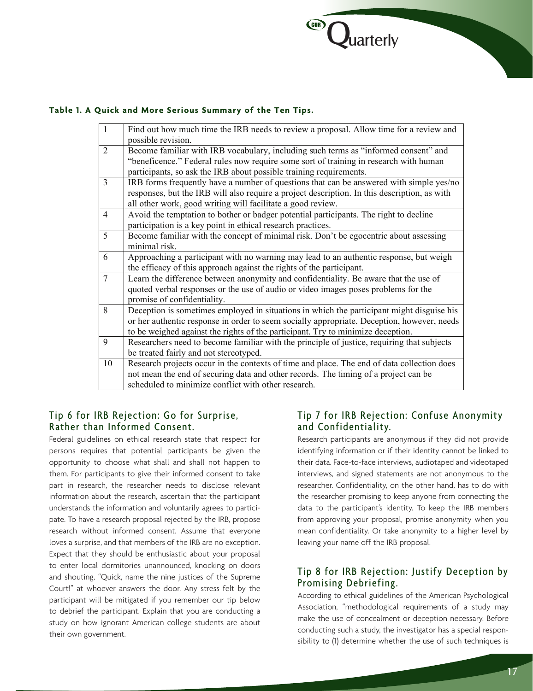

#### **Table 1. A Quick and More Serious Summary of the Ten Tips.**

| $\mathbf{1}$   | Find out how much time the IRB needs to review a proposal. Allow time for a review and       |
|----------------|----------------------------------------------------------------------------------------------|
|                | possible revision.                                                                           |
| $\overline{2}$ | Become familiar with IRB vocabulary, including such terms as "informed consent" and          |
|                | "beneficence." Federal rules now require some sort of training in research with human        |
|                | participants, so ask the IRB about possible training requirements.                           |
| $\overline{3}$ | IRB forms frequently have a number of questions that can be answered with simple yes/no      |
|                | responses, but the IRB will also require a project description. In this description, as with |
|                | all other work, good writing will facilitate a good review.                                  |
| $\overline{4}$ | Avoid the temptation to bother or badger potential participants. The right to decline        |
|                | participation is a key point in ethical research practices.                                  |
| 5              | Become familiar with the concept of minimal risk. Don't be egocentric about assessing        |
|                | minimal risk.                                                                                |
| 6              | Approaching a participant with no warning may lead to an authentic response, but weigh       |
|                | the efficacy of this approach against the rights of the participant.                         |
| $\overline{7}$ | Learn the difference between anonymity and confidentiality. Be aware that the use of         |
|                | quoted verbal responses or the use of audio or video images poses problems for the           |
|                | promise of confidentiality.                                                                  |
| 8              | Deception is sometimes employed in situations in which the participant might disguise his    |
|                | or her authentic response in order to seem socially appropriate. Deception, however, needs   |
|                | to be weighed against the rights of the participant. Try to minimize deception.              |
| 9              | Researchers need to become familiar with the principle of justice, requiring that subjects   |
|                | be treated fairly and not stereotyped.                                                       |
| 10             | Research projects occur in the contexts of time and place. The end of data collection does   |
|                | not mean the end of securing data and other records. The timing of a project can be          |
|                | scheduled to minimize conflict with other research.                                          |

#### Tip 6 for IRB Rejection: Go for Surprise, Rather than Informed Consent.

Federal guidelines on ethical research state that respect for persons requires that potential participants be given the opportunity to choose what shall and shall not happen to them. For participants to give their informed consent to take part in research, the researcher needs to disclose relevant information about the research, ascertain that the participant understands the information and voluntarily agrees to participate. To have a research proposal rejected by the IRB, propose research without informed consent. Assume that everyone loves a surprise, and that members of the IRB are no exception. Expect that they should be enthusiastic about your proposal to enter local dormitories unannounced, knocking on doors and shouting, "Quick, name the nine justices of the Supreme Court!" at whoever answers the door. Any stress felt by the participant will be mitigated if you remember our tip below to debrief the participant. Explain that you are conducting a study on how ignorant American college students are about their own government.

### Tip 7 for IRB Rejection: Confuse Anonymity and Confidentiality.

Research participants are anonymous if they did not provide identifying information or if their identity cannot be linked to their data. Face-to-face interviews, audiotaped and videotaped interviews, and signed statements are not anonymous to the researcher. Confidentiality, on the other hand, has to do with the researcher promising to keep anyone from connecting the data to the participant's identity. To keep the IRB members from approving your proposal, promise anonymity when you mean confidentiality. Or take anonymity to a higher level by leaving your name off the IRB proposal.

# Tip 8 for IRB Rejection: Justify Deception by Promising Debriefing.

According to ethical guidelines of the American Psychological Association, "methodological requirements of a study may make the use of concealment or deception necessary. Before conducting such a study, the investigator has a special responsibility to (1) determine whether the use of such techniques is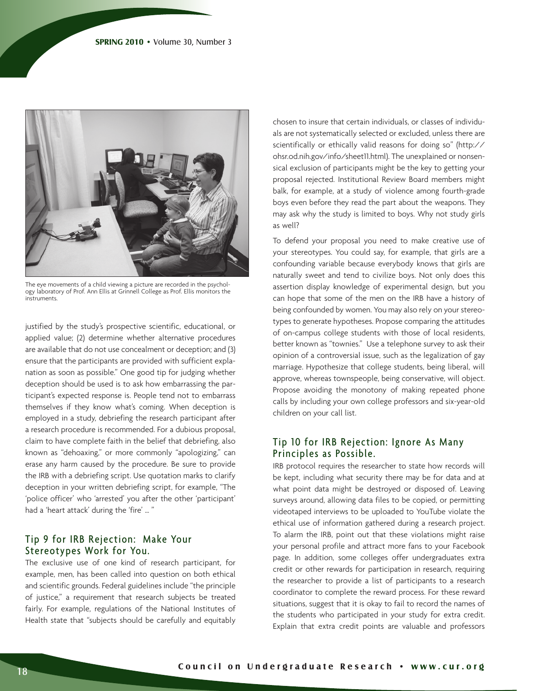

The eye movements of a child viewing a picture are recorded in the psychology laboratory of Prof. Ann Ellis at Grinnell College as Prof. Ellis monitors the instruments.

justified by the study's prospective scientific, educational, or applied value; (2) determine whether alternative procedures are available that do not use concealment or deception; and (3) ensure that the participants are provided with sufficient explanation as soon as possible." One good tip for judging whether deception should be used is to ask how embarrassing the participant's expected response is. People tend not to embarrass themselves if they know what's coming. When deception is employed in a study, debriefing the research participant after a research procedure is recommended. For a dubious proposal, claim to have complete faith in the belief that debriefing, also known as "dehoaxing," or more commonly "apologizing," can erase any harm caused by the procedure. Be sure to provide the IRB with a debriefing script. Use quotation marks to clarify deception in your written debriefing script, for example, "The 'police officer' who 'arrested' you after the other 'participant' had a 'heart attack' during the 'fire' … "

#### Tip 9 for IRB Rejection: Make Your Stereotypes Work for You.

The exclusive use of one kind of research participant, for example, men, has been called into question on both ethical and scientific grounds. Federal guidelines include "the principle of justice," a requirement that research subjects be treated fairly. For example, regulations of the National Institutes of Health state that "subjects should be carefully and equitably chosen to insure that certain individuals, or classes of individuals are not systematically selected or excluded, unless there are scientifically or ethically valid reasons for doing so" (http:// ohsr.od.nih.gov/info/sheet11.html). The unexplained or nonsensical exclusion of participants might be the key to getting your proposal rejected. Institutional Review Board members might balk, for example, at a study of violence among fourth-grade boys even before they read the part about the weapons. They may ask why the study is limited to boys. Why not study girls as well?

To defend your proposal you need to make creative use of your stereotypes. You could say, for example, that girls are a confounding variable because everybody knows that girls are naturally sweet and tend to civilize boys. Not only does this assertion display knowledge of experimental design, but you can hope that some of the men on the IRB have a history of being confounded by women. You may also rely on your stereotypes to generate hypotheses. Propose comparing the attitudes of on-campus college students with those of local residents, better known as "townies." Use a telephone survey to ask their opinion of a controversial issue, such as the legalization of gay marriage. Hypothesize that college students, being liberal, will approve, whereas townspeople, being conservative, will object. Propose avoiding the monotony of making repeated phone calls by including your own college professors and six-year-old children on your call list.

#### Tip 10 for IRB Rejection: Ignore As Many Principles as Possible.

IRB protocol requires the researcher to state how records will be kept, including what security there may be for data and at what point data might be destroyed or disposed of. Leaving surveys around, allowing data files to be copied, or permitting videotaped interviews to be uploaded to YouTube violate the ethical use of information gathered during a research project. To alarm the IRB, point out that these violations might raise your personal profile and attract more fans to your Facebook page. In addition, some colleges offer undergraduates extra credit or other rewards for participation in research, requiring the researcher to provide a list of participants to a research coordinator to complete the reward process. For these reward situations, suggest that it is okay to fail to record the names of the students who participated in your study for extra credit. Explain that extra credit points are valuable and professors